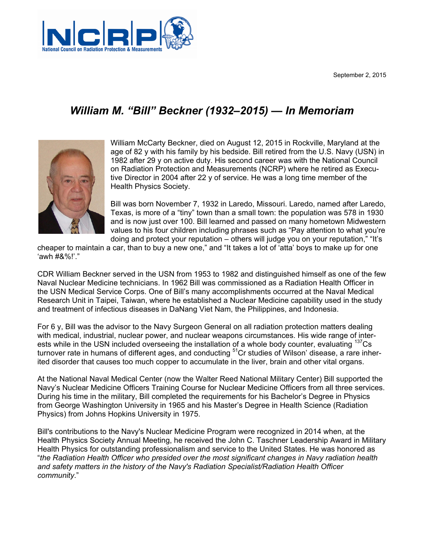September 2, 2015



## *William M. "Bill" Beckner (1932–2015) — In Memoriam*



William McCarty Beckner, died on August 12, 2015 in Rockville, Maryland at the age of 82 y with his family by his bedside. Bill retired from the U.S. Navy (USN) in 1982 after 29 y on active duty. His second career was with the National Council on Radiation Protection and Measurements (NCRP) where he retired as Executive Director in 2004 after 22 y of service. He was a long time member of the Health Physics Society.

Bill was born November 7, 1932 in Laredo, Missouri. Laredo, named after Laredo, Texas, is more of a "tiny" town than a small town: the population was 578 in 1930 and is now just over 100. Bill learned and passed on many hometown Midwestern values to his four children including phrases such as "Pay attention to what you're doing and protect your reputation – others will judge you on your reputation," "It's

cheaper to maintain a car, than to buy a new one," and "It takes a lot of 'atta' boys to make up for one 'awh #&%!'."

CDR William Beckner served in the USN from 1953 to 1982 and distinguished himself as one of the few Naval Nuclear Medicine technicians. In 1962 Bill was commissioned as a Radiation Health Officer in the USN Medical Service Corps. One of Bill's many accomplishments occurred at the Naval Medical Research Unit in Taipei, Taiwan, where he established a Nuclear Medicine capability used in the study and treatment of infectious diseases in DaNang Viet Nam, the Philippines, and Indonesia.

For 6 y, Bill was the advisor to the Navy Surgeon General on all radiation protection matters dealing with medical, industrial, nuclear power, and nuclear weapons circumstances. His wide range of interests while in the USN included overseeing the installation of a whole body counter, evaluating <sup>137</sup>Cs turnover rate in humans of different ages, and conducting <sup>51</sup>Cr studies of Wilson' disease, a rare inherited disorder that causes too much copper to accumulate in the liver, brain and other vital organs.

At the National Naval Medical Center (now the Walter Reed National Military Center) Bill supported the Navy's Nuclear Medicine Officers Training Course for Nuclear Medicine Officers from all three services. During his time in the military, Bill completed the requirements for his Bachelor's Degree in Physics from George Washington University in 1965 and his Master's Degree in Health Science (Radiation Physics) from Johns Hopkins University in 1975.

Bill's contributions to the Navy's Nuclear Medicine Program were recognized in 2014 when, at the Health Physics Society Annual Meeting, he received the John C. Taschner Leadership Award in Military Health Physics for outstanding professionalism and service to the United States. He was honored as "*the Radiation Health Officer who presided over the most significant changes in Navy radiation health and safety matters in the history of the Navy's Radiation Specialist/Radiation Health Officer community*."